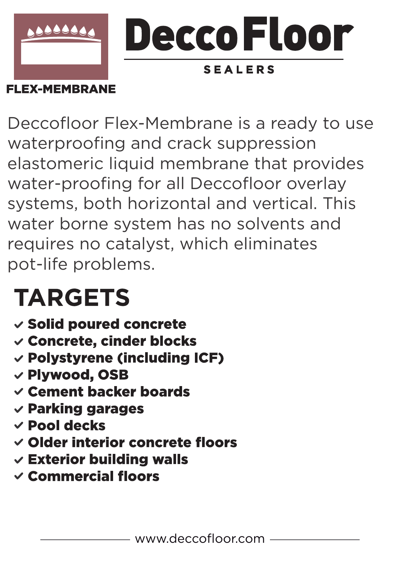

**FLEX-MEMBRANE** 

Deccofloor Flex-Membrane is a ready to use waterproofing and crack suppression elastomeric liquid membrane that provides water-proofing for all Deccofloor overlay systems, both horizontal and vertical. This water borne system has no solvents and requires no catalyst, which eliminates pot-life problems.

# **TARGETS**

- v Solid poured concrete
- √ Concrete, cinder blocks
- v Polystyrene (including ICF)
- **√ Plywood, OSB**
- $\vee$  Cement backer boards
- $\checkmark$  Parking garages
- $\times$  Pool decks
- √ Older interior concrete floors
- $\checkmark$  Exterior building walls
- $\checkmark$  Commercial floors